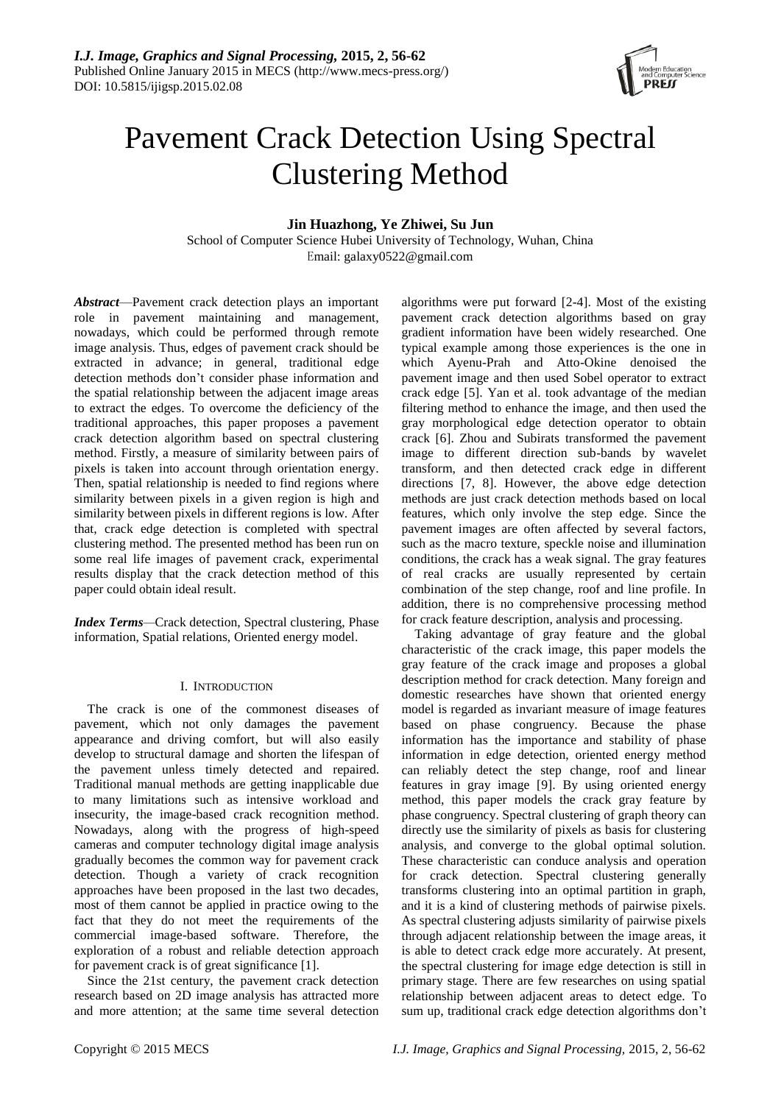

# Pavement Crack Detection Using Spectral Clustering Method

# **Jin Huazhong, Ye Zhiwei, Su Jun**

School of Computer Science Hubei University of Technology, Wuhan, China Email: galaxy0522@gmail.com

*Abstract*—Pavement crack detection plays an important role in pavement maintaining and management, nowadays, which could be performed through remote image analysis. Thus, edges of pavement crack should be extracted in advance; in general, traditional edge detection methods don't consider phase information and the spatial relationship between the adjacent image areas to extract the edges. To overcome the deficiency of the traditional approaches, this paper proposes a pavement crack detection algorithm based on spectral clustering method. Firstly, a measure of similarity between pairs of pixels is taken into account through orientation energy. Then, spatial relationship is needed to find regions where similarity between pixels in a given region is high and similarity between pixels in different regions is low. After that, crack edge detection is completed with spectral clustering method. The presented method has been run on some real life images of pavement crack, experimental results display that the crack detection method of this paper could obtain ideal result.

*Index Terms—*Crack detection, Spectral clustering, Phase information, Spatial relations, Oriented energy model.

## I. INTRODUCTION

The crack is one of the commonest diseases of pavement, which not only damages the pavement appearance and driving comfort, but will also easily develop to structural damage and shorten the lifespan of the pavement unless timely detected and repaired. Traditional manual methods are getting inapplicable due to many limitations such as intensive workload and insecurity, the image-based crack recognition method. Nowadays, along with the progress of high-speed cameras and computer technology digital image analysis gradually becomes the common way for pavement crack detection. Though a variety of crack recognition approaches have been proposed in the last two decades, most of them cannot be applied in practice owing to the fact that they do not meet the requirements of the commercial image-based software. Therefore, the exploration of a robust and reliable detection approach for pavement crack is of great significance [1].

Since the 21st century, the pavement crack detection research based on 2D image analysis has attracted more and more attention; at the same time several detection

algorithms were put forward [2-4]. Most of the existing pavement crack detection algorithms based on gray gradient information have been widely researched. One typical example among those experiences is the one in which Ayenu-Prah and Atto-Okine denoised the pavement image and then used Sobel operator to extract crack edge [5]. Yan et al. took advantage of the median filtering method to enhance the image, and then used the gray morphological edge detection operator to obtain crack [6]. Zhou and Subirats transformed the pavement image to different direction sub-bands by wavelet transform, and then detected crack edge in different directions [7, 8]. However, the above edge detection methods are just crack detection methods based on local features, which only involve the step edge. Since the pavement images are often affected by several factors, such as the macro texture, speckle noise and illumination conditions, the crack has a weak signal. The gray features of real cracks are usually represented by certain combination of the step change, roof and line profile. In addition, there is no comprehensive processing method for crack feature description, analysis and processing.

Taking advantage of gray feature and the global characteristic of the crack image, this paper models the gray feature of the crack image and proposes a global description method for crack detection. Many foreign and domestic researches have shown that oriented energy model is regarded as invariant measure of image features based on phase congruency. Because the phase information has the importance and stability of phase information in edge detection, oriented energy method can reliably detect the step change, roof and linear features in gray image [9]. By using oriented energy method, this paper models the crack gray feature by phase congruency. Spectral clustering of graph theory can directly use the similarity of pixels as basis for clustering analysis, and converge to the global optimal solution. These characteristic can conduce analysis and operation for crack detection. Spectral clustering generally transforms clustering into an optimal partition in graph, and it is a kind of clustering methods of pairwise pixels. As spectral clustering adjusts similarity of pairwise pixels through adjacent relationship between the image areas, it is able to detect crack edge more accurately. At present, the spectral clustering for image edge detection is still in primary stage. There are few researches on using spatial relationship between adjacent areas to detect edge. To sum up, traditional crack edge detection algorithms don't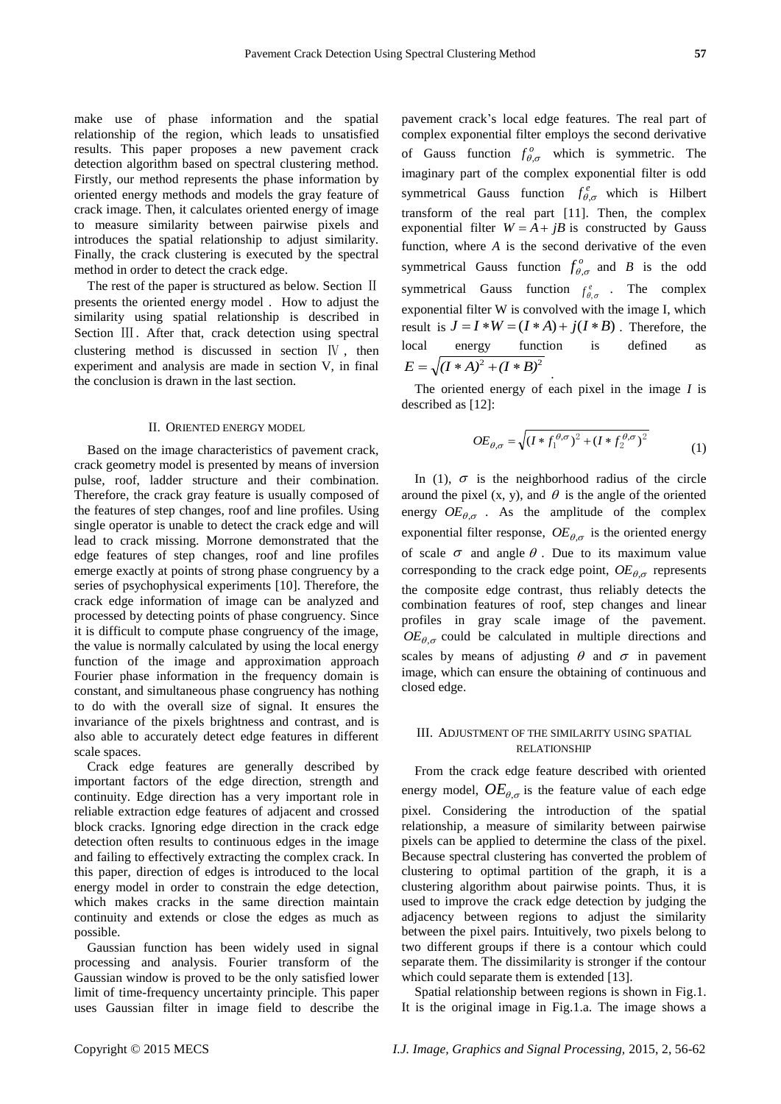make use of phase information and the spatial relationship of the region, which leads to unsatisfied results. This paper proposes a new pavement crack detection algorithm based on spectral clustering method. Firstly, our method represents the phase information by oriented energy methods and models the gray feature of crack image. Then, it calculates oriented energy of image to measure similarity between pairwise pixels and introduces the spatial relationship to adjust similarity. Finally, the crack clustering is executed by the spectral method in order to detect the crack edge.

The rest of the paper is structured as below. Section II presents the oriented energy model . How to adjust the similarity using spatial relationship is described in Section Ⅲ. After that, crack detection using spectral clustering method is discussed in section Ⅳ , then experiment and analysis are made in section V, in final the conclusion is drawn in the last section.

#### II. ORIENTED ENERGY MODEL

Based on the image characteristics of pavement crack, crack geometry model is presented by means of inversion pulse, roof, ladder structure and their combination. Therefore, the crack gray feature is usually composed of the features of step changes, roof and line profiles. Using single operator is unable to detect the crack edge and will lead to crack missing. Morrone demonstrated that the edge features of step changes, roof and line profiles emerge exactly at points of strong phase congruency by a series of psychophysical experiments [10]. Therefore, the crack edge information of image can be analyzed and processed by detecting points of phase congruency. Since it is difficult to compute phase congruency of the image, the value is normally calculated by using the local energy function of the image and approximation approach Fourier phase information in the frequency domain is constant, and simultaneous phase congruency has nothing to do with the overall size of signal. It ensures the invariance of the pixels brightness and contrast, and is also able to accurately detect edge features in different scale spaces.

Crack edge features are generally described by important factors of the edge direction, strength and continuity. Edge direction has a very important role in reliable extraction edge features of adjacent and crossed block cracks. Ignoring edge direction in the crack edge detection often results to continuous edges in the image and failing to effectively extracting the complex crack. In this paper, direction of edges is introduced to the local energy model in order to constrain the edge detection, which makes cracks in the same direction maintain continuity and extends or close the edges as much as possible.

Gaussian function has been widely used in signal processing and analysis. Fourier transform of the Gaussian window is proved to be the only satisfied lower limit of time-frequency uncertainty principle. This paper uses Gaussian filter in image field to describe the pavement crack's local edge features. The real part of complex exponential filter employs the [second derivative](http://dict.cnki.net/dict_result.aspx?searchword=%e4%ba%8c%e9%98%b6%e5%af%bc%e6%95%b0&tjType=sentence&style=&t=second+derivative) of Gauss function  $f_{\theta,\sigma}^o$  which is symmetric. The imaginary part of the complex exponential filter is odd symmetrical Gauss function  $f_{\theta,\sigma}^e$  which is Hilbert transform of the real part [11]. Then, the complex exponential filter  $W = A + jB$  is constructed by Gauss function, where *A* is the [second derivative](http://dict.cnki.net/dict_result.aspx?searchword=%e4%ba%8c%e9%98%b6%e5%af%bc%e6%95%b0&tjType=sentence&style=&t=second+derivative) of the even symmetrical Gauss function  $f_{\theta,\sigma}^o$  and *B* is the odd symmetrical Gauss function  $f^e_{\theta,\sigma}$  . The complex exponential filter W is convolved with the image I, which result is  $J = I * W = (I * A) + j(I * B)$ . Therefore, the local energy function is defined as  $E = \sqrt{(I*A)^2 + (I*B)^2}$ .

The oriented energy of each pixel in the image *I* is described as [12]:

$$
OE_{\theta,\sigma} = \sqrt{\left(I * f_1^{\theta,\sigma}\right)^2 + \left(I * f_2^{\theta,\sigma}\right)^2}
$$
\n(1)

In (1),  $\sigma$  is the neighborhood radius of the circle around the pixel  $(x, y)$ , and  $\theta$  is the angle of the oriented energy  $OE_{\theta,\sigma}$ . As the amplitude of the complex exponential filter response,  $OE_{\theta,\sigma}$  is the oriented energy of scale  $\sigma$  and angle  $\theta$ . Due to its maximum value corresponding to the crack edge point,  $OE_{\theta,\sigma}$  represents the composite edge contrast, thus reliably detects the combination features of roof, step changes and linear profiles in gray scale image of the pavement.  $OE_{\theta,\sigma}$  could be calculated in multiple directions and scales by means of adjusting  $\theta$  and  $\sigma$  in pavement image, which can ensure the obtaining of continuous and closed edge.

#### III. ADJUSTMENT OF THE SIMILARITY USING SPATIAL RELATIONSHIP

From the crack edge feature described with oriented energy model,  $OE_{\theta,\sigma}$  is the feature value of each edge pixel. Considering the introduction of the spatial relationship, a measure of similarity between pairwise pixels can be applied to determine the class of the pixel. Because spectral clustering has converted the problem of clustering to optimal partition of the graph, it is a clustering algorithm about pairwise points. Thus, it is used to improve the crack edge detection by judging the adjacency between regions to adjust the similarity between the pixel pairs. Intuitively, two pixels belong to two different groups if there is a contour which could separate them. The dissimilarity is stronger if the contour which could separate them is extended [13].

Spatial relationship between regions is shown in Fig.1. It is the original image in Fig.1.a. The image shows a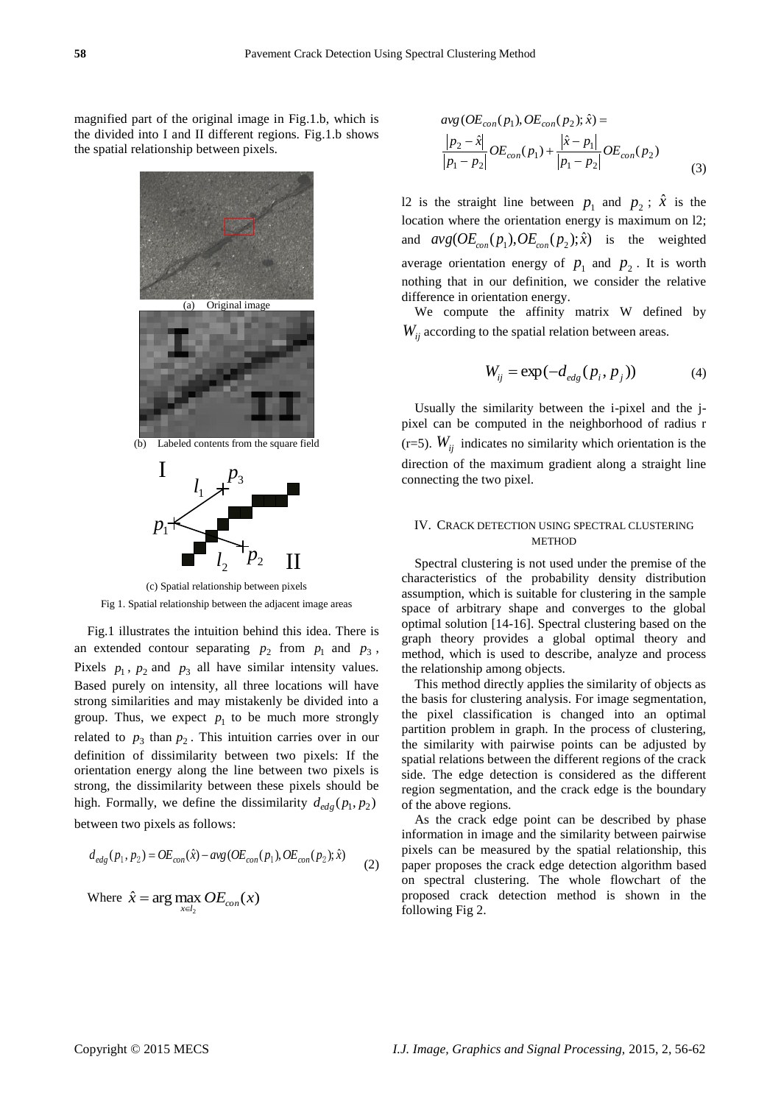magnified part of the original image in Fig.1.b, which is the divided into I and II different regions. Fig.1.b shows the spatial relationship between pixels.



(c) Spatial relationship between pixels Fig 1. Spatial relationship between the adjacent image areas

Fig.1 illustrates the intuition behind this idea. There is an extended contour separating  $p_2$  from  $p_1$  and  $p_3$ , Pixels  $p_1$ ,  $p_2$  and  $p_3$  all have similar intensity values. Based purely on intensity, all three locations will have strong similarities and may mistakenly be divided into a group. Thus, we expect  $p_1$  to be much more strongly related to  $p_3$  than  $p_2$ . This intuition carries over in our definition of dissimilarity between two pixels: If the orientation energy along the line between two pixels is strong, the dissimilarity between these pixels should be high. Formally, we define the dissimilarity  $d_{edg}(p_1, p_2)$ between two pixels as follows:

$$
d_{\text{edg}}(p_1, p_2) = OE_{\text{con}}(\hat{x}) - \text{avg}(OE_{\text{con}}(p_1), OE_{\text{con}}(p_2); \hat{x})
$$
 (2)

Where 
$$
\hat{x}
$$
 = arg max  $OE_{con}(x)$ 

$$
avg (OE_{con}(p_1), OE_{con}(p_2); \hat{x}) =
$$
  
\n
$$
\frac{|p_2 - \hat{x}|}{|p_1 - p_2|} OE_{con}(p_1) + \frac{|\hat{x} - p_1|}{|p_1 - p_2|} OE_{con}(p_2)
$$
\n(3)

12 is the straight line between  $p_1$  and  $p_2$ ;  $\hat{x}$  is the location where the orientation energy is maximum on l2; and  $avg(OE_{con}(p_1), OE_{con}(p_2); \hat{x})$  is the weighted average orientation energy of  $p_1$  and  $p_2$ . It is worth nothing that in our definition, we consider the relative difference in orientation energy.

We compute the affinity matrix W defined by *Wij* according to the spatial relation between areas.

$$
W_{ij} = \exp(-d_{\text{edg}}(p_i, p_j))\tag{4}
$$

Usually the similarity between the i-pixel and the jpixel can be computed in the neighborhood of radius r  $(r=5)$ .  $W_{ij}$  indicates no similarity which orientation is the direction of the maximum gradient along a straight line connecting the two pixel.

### IV. CRACK DETECTION USING SPECTRAL CLUSTERING **METHOD**

Spectral clustering is not used under the premise of the characteristics of the probability density distribution assumption, which is suitable for clustering in the sample space of arbitrary shape and converges to the global optimal solution [14-16]. Spectral clustering based on the graph theory provides a global optimal theory and method, which is used to describe, analyze and process the relationship among objects.

This method directly applies the similarity of objects as the basis for clustering analysis. For image segmentation, the pixel classification is changed into an optimal partition problem in graph. In the process of clustering, the similarity with pairwise points can be adjusted by spatial relations between the different regions of the crack side. The edge detection is considered as the different region segmentation, and the crack edge is the boundary of the above regions.

As the crack edge point can be described by phase information in image and the similarity between pairwise pixels can be measured by the spatial relationship, this paper proposes the crack edge detection algorithm based on spectral clustering. The whole flowchart of the proposed crack detection method is shown in the following Fig 2.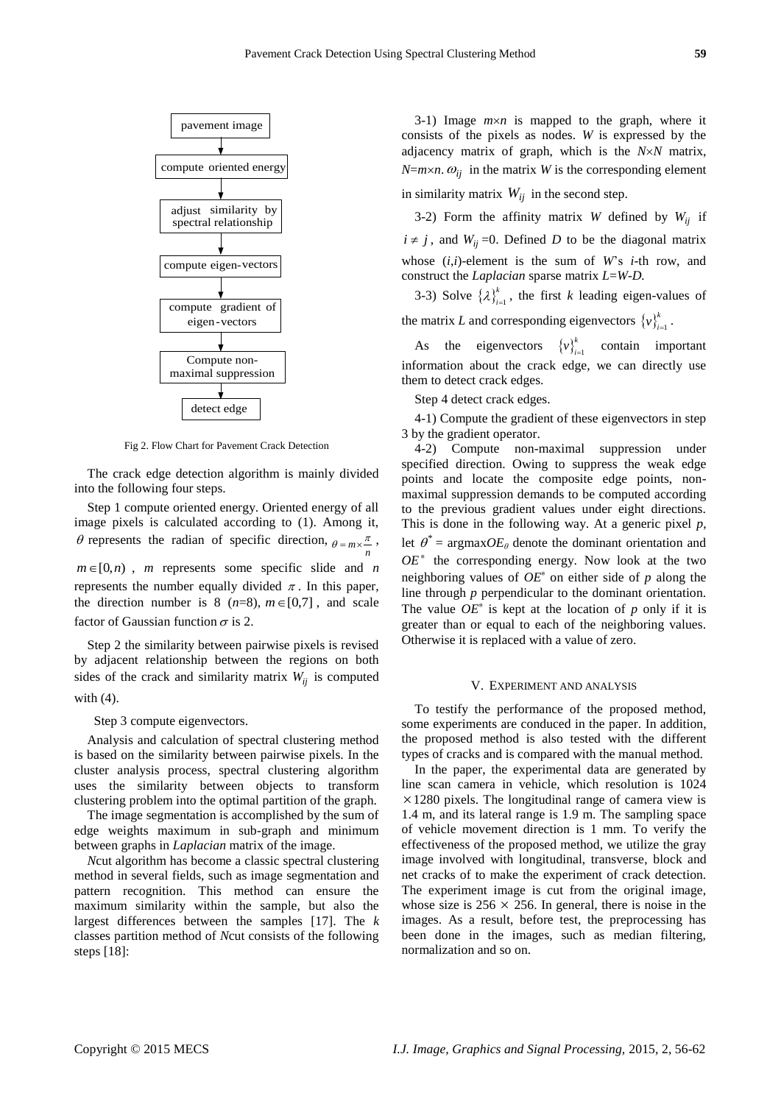

Fig 2. Flow Chart for Pavement Crack Detection

The crack edge detection algorithm is mainly divided into the following four steps.

Step 1 compute oriented energy. Oriented energy of all image pixels is calculated according to (1). Among it,  $\theta$  represents the radian of specific direction,  $\theta = m \times \frac{\pi}{n}$ ,  $m \in [0,n)$ , *m* represents some specific slide and *n* represents the number equally divided  $\pi$ . In this paper, the direction number is  $8$  ( $n=8$ ),  $m \in [0,7]$ , and scale factor of Gaussian function  $\sigma$  is 2.

Step 2 the similarity between pairwise pixels is revised by adjacent relationship between the regions on both sides of the crack and similarity matrix  $W_{ij}$  is computed with (4).

Step 3 compute eigenvectors.

Analysis and calculation of spectral clustering method is based on the similarity between pairwise pixels. In the cluster analysis process, spectral clustering algorithm uses the similarity between objects to transform clustering problem into the optimal partition of the graph.

The image segmentation is accomplished by the sum of edge weights maximum in sub-graph and [minimum](http://dict.cnki.net/dict_result.aspx?searchword=%e6%9c%80%e5%b0%8f%e5%80%bc&tjType=sentence&style=&t=minimum) between graphs in *Laplacian* matrix of the image.

*N*cut algorithm has become a classic spectral clustering method in several fields, such as image segmentation and pattern recognition. This method can ensure the maximum similarity within the sample, but also the largest differences between the samples [17]. The *k* classes partition method of *N*cut consists of the following steps [18]:

3-1) Image  $m \times n$  is mapped to the graph, where it consists of the pixels as nodes. *W* is expressed by the adjacency matrix of graph, which is the  $N \times N$  matrix, *N*=*m* $\times$ *n*.  $\omega_{ij}$  in the matrix *W* is the corresponding element in similarity matrix  $W_{ij}$  in the second step.

3-2) Form the affinity matrix *W* defined by  $W_{ij}$  if  $i \neq j$ , and  $W_{ij}$  =0. Defined *D* to be the diagonal matrix whose (*i*,*i*)-element is the sum of *W*'s *i*-th row, and construct the *Laplacian* sparse matrix *L*=*W*-*D.*

3-3) Solve  $\{\lambda\}_{i=1}^{k}$  $\lambda_{i=1}^k$ , the first *k* leading eigen-values of

the matrix *L* and corresponding eigenvectors  $\{v\}_{i=1}^k$  $v\bigg\}_{i=1}^{n}$ .

As the eigenvectors  $\{v\}_{i=1}^k$  $v\big|_{i=1}^{k}$  contain important information about the crack edge, we can directly use them to detect crack edges.

Step 4 detect crack edges.

4-1) Compute the gradient of these eigenvectors in step 3 by the gradient operator.

4-2) Compute non-maximal suppression under specified direction. Owing to suppress the weak edge points and locate the composite edge points, nonmaximal suppression demands to be computed according to the previous gradient values under eight directions. This is done in the following way. At a generic pixel *p*, let  $\theta^* = \text{argmax} O E_{\theta}$  denote the dominant orientation and *OE*<sup>∗</sup> the corresponding energy. Now look at the two neighboring values of *OE*<sup>∗</sup> on either side of *p* along the line through *p* perpendicular to the dominant orientation. The value  $OE^*$  is kept at the location of  $p$  only if it is greater than or equal to each of the neighboring values. Otherwise it is replaced with a value of zero.

#### V. EXPERIMENT AND ANALYSIS

To testify the performance of the proposed method, some experiments are conduced in the paper. In addition, the proposed method is also tested with the different types of cracks and is compared with the manual method.

In the paper, the experimental data are generated by line scan camera in vehicle, which resolution is 1024  $\times$  1280 pixels. The longitudinal range of camera view is 1.4 m, and its lateral range is 1.9 m. The sampling space of vehicle movement direction is 1 mm. To verify the effectiveness of the proposed method, we utilize the gray image involved with longitudinal, transverse, block and net cracks of to make the experiment of crack detection. The experiment image is cut from the original image, whose size is  $256 \times 256$ . In general, there is noise in the images. As a result, before test, the preprocessing has been done in the images, such as median filtering, normalization and so on.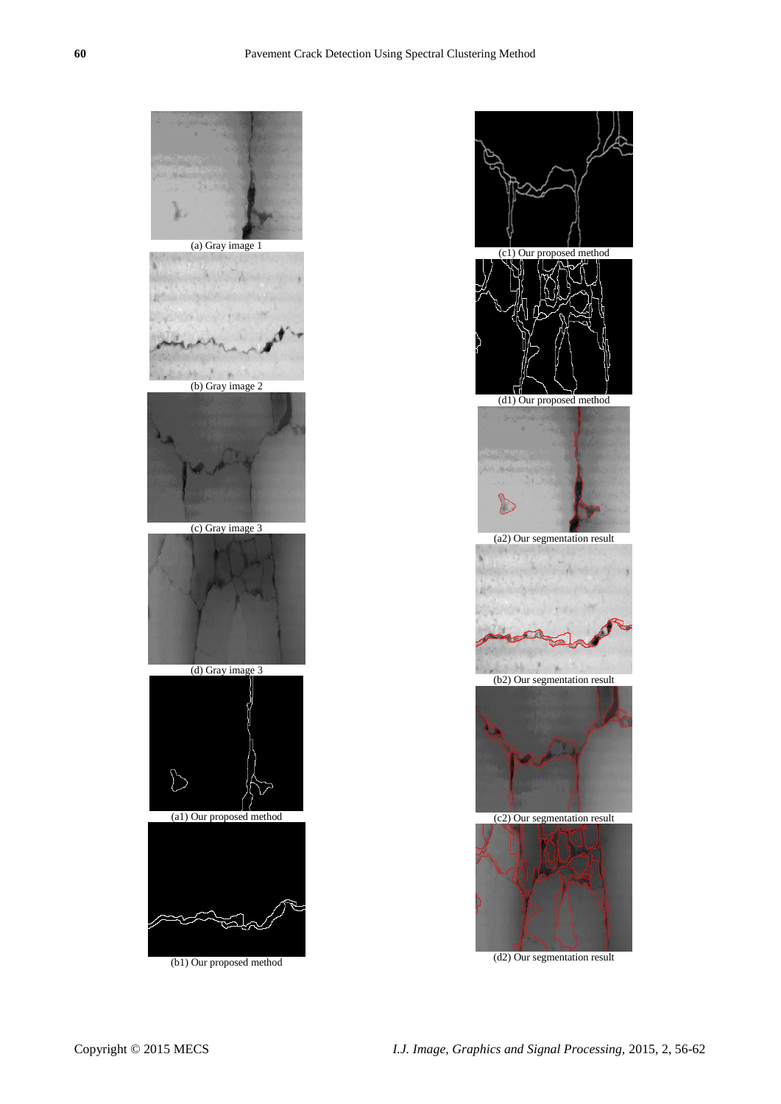



(d2) Our segmentation result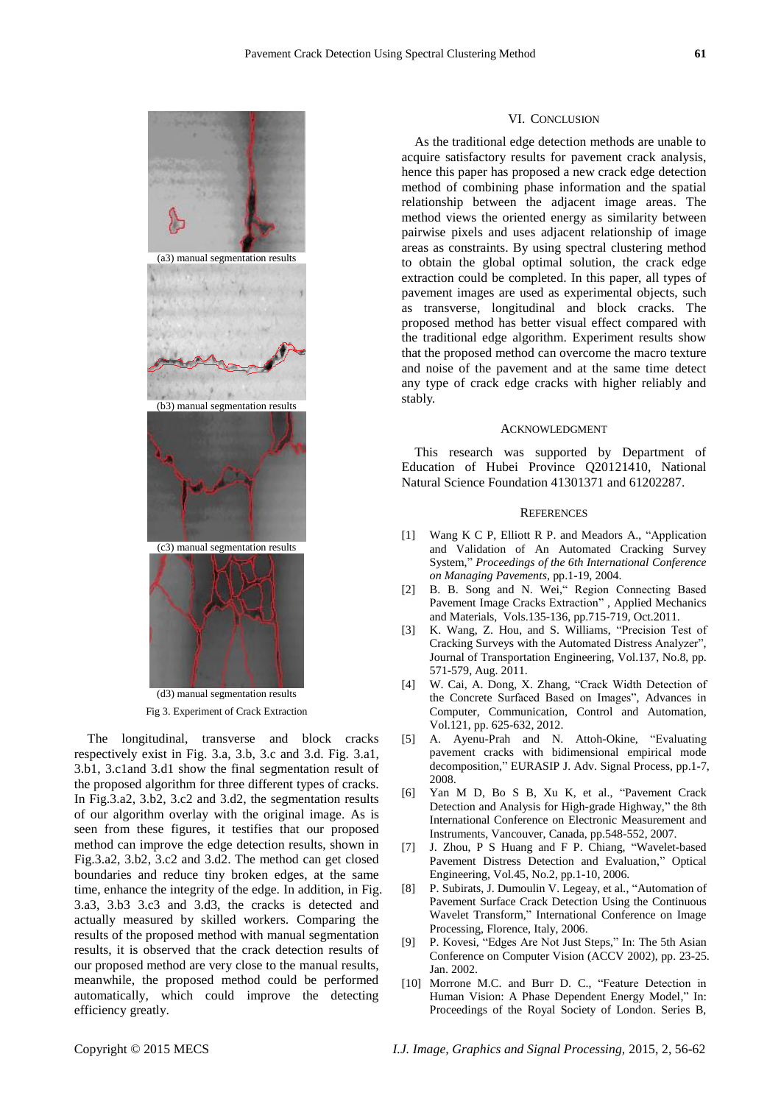

Fig 3. Experiment of Crack Extraction

The longitudinal, transverse and block cracks respectively exist in Fig. 3.a, 3.b, 3.c and 3.d. Fig. 3.a1, 3.b1, 3.c1and 3.d1 show the final segmentation result of the proposed algorithm for three different types of cracks. In Fig.3.a2, 3.b2, 3.c2 and 3.d2, the segmentation results of our algorithm overlay with the original image. As is seen from these figures, it testifies that our proposed method can improve the edge detection results, shown in Fig.3.a2, 3.b2, 3.c2 and 3.d2. The method can get closed boundaries and reduce tiny broken edges, at the same time, enhance the integrity of the edge. In addition, in Fig. 3.a3, 3.b3 3.c3 and 3.d3, the cracks is detected and actually measured by skilled workers. Comparing the results of the proposed method with manual segmentation results, it is observed that the crack detection results of our proposed method are very close to the manual results, meanwhile, the proposed method could be performed automatically, which could improve the detecting efficiency greatly.

#### VI. CONCLUSION

As the traditional edge detection methods are unable to acquire satisfactory results for pavement crack analysis, hence this paper has proposed a new crack edge detection method of combining phase information and the spatial relationship between the adjacent image areas. The method views the oriented energy as similarity between pairwise pixels and uses adjacent relationship of image areas as constraints. By using spectral clustering method to obtain the global optimal solution, the crack edge extraction could be completed. In this paper, all types of pavement images are used as experimental objects, such as transverse, longitudinal and block cracks. The proposed method has better visual effect compared with the traditional edge algorithm. Experiment results show that the proposed method can overcome the macro texture and noise of the pavement and at the same time detect any type of crack edge cracks with higher reliably and stably.

#### ACKNOWLEDGMENT

This research was supported by Department of Education of Hubei Province Q20121410, National Natural Science Foundation 41301371 and 61202287.

## **REFERENCES**

- [1] Wang K C P, Elliott R P. and Meadors A., "Application and Validation of An Automated Cracking Survey System," *Proceedings of the 6th International Conference on Managing Pavements*, pp.1-19, 2004.
- [2] B. B. Song and N. Wei," Region Connecting Based Pavement Image Cracks Extraction" , Applied Mechanics and Materials, Vols.135-136, pp.715-719, Oct.2011.
- [3] K. Wang, Z. Hou, and S. Williams, "Precision Test of Cracking Surveys with the Automated Distress Analyzer", Journal of Transportation Engineering, Vol.137, No.8, pp. 571-579, Aug. 2011.
- [4] W. Cai, A. Dong, X. Zhang, "Crack Width Detection of the Concrete Surfaced Based on Images", Advances in Computer, Communication, Control and Automation, Vol.121, pp. 625-632, 2012.
- [5] A. Ayenu-Prah and N. Attoh-Okine, "Evaluating pavement cracks with bidimensional empirical mode decomposition," EURASIP J. Adv. Signal Process, pp.1-7, 2008.
- [6] Yan M D, Bo S B, Xu K, et al., "Pavement Crack Detection and Analysis for High-grade Highway," the 8th International Conference on Electronic Measurement and Instruments, Vancouver, Canada, pp.548-552, 2007.
- [7] J. Zhou, P S Huang and F P. Chiang, "Wavelet-based Pavement Distress Detection and Evaluation," Optical Engineering, Vol.45, No.2, pp.1-10, 2006.
- [8] P. Subirats, J. Dumoulin V. Legeay, et al., "Automation of Pavement Surface Crack Detection Using the Continuous Wavelet Transform," International Conference on Image Processing, Florence, Italy, 2006.
- [9] P. Kovesi, "Edges Are Not Just Steps," In: The 5th Asian Conference on Computer Vision (ACCV 2002), pp. 23-25. Jan. 2002.
- [10] Morrone M.C. and Burr D. C., "Feature Detection in Human Vision: A Phase Dependent Energy Model," In: Proceedings of the Royal Society of London. Series B,